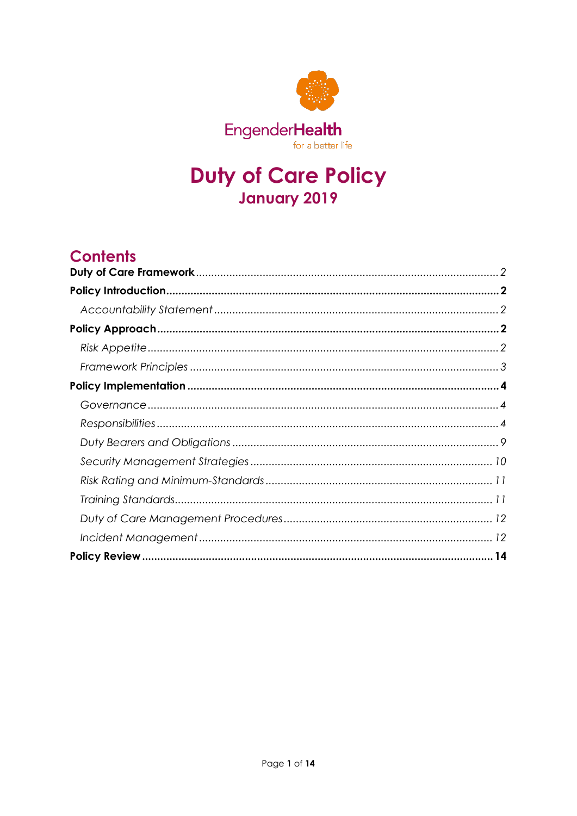

# **Duty of Care Policy January 2019**

# **Contents**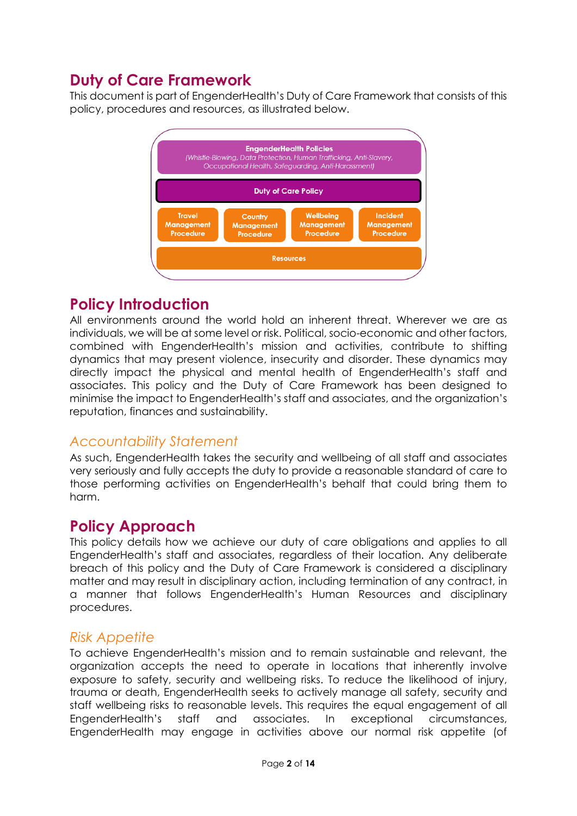# <span id="page-1-0"></span>**Duty of Care Framework**

This document is part of EngenderHealth's Duty of Care Framework that consists of this policy, procedures and resources, as illustrated below.



# <span id="page-1-1"></span>**Policy Introduction**

All environments around the world hold an inherent threat. Wherever we are as individuals, we will be at some level or risk. Political, socio-economic and other factors, combined with EngenderHealth's mission and activities, contribute to shifting dynamics that may present violence, insecurity and disorder. These dynamics may directly impact the physical and mental health of EngenderHealth's staff and associates. This policy and the Duty of Care Framework has been designed to minimise the impact to EngenderHealth's staff and associates, and the organization's reputation, finances and sustainability.

### <span id="page-1-2"></span>*Accountability Statement*

As such, EngenderHealth takes the security and wellbeing of all staff and associates very seriously and fully accepts the duty to provide a reasonable standard of care to those performing activities on EngenderHealth's behalf that could bring them to harm.

# <span id="page-1-3"></span>**Policy Approach**

This policy details how we achieve our duty of care obligations and applies to all EngenderHealth's staff and associates, regardless of their location. Any deliberate breach of this policy and the Duty of Care Framework is considered a disciplinary matter and may result in disciplinary action, including termination of any contract, in a manner that follows EngenderHealth's Human Resources and disciplinary procedures.

### <span id="page-1-4"></span>*Risk Appetite*

To achieve EngenderHealth's mission and to remain sustainable and relevant, the organization accepts the need to operate in locations that inherently involve exposure to safety, security and wellbeing risks. To reduce the likelihood of injury, trauma or death, EngenderHealth seeks to actively manage all safety, security and staff wellbeing risks to reasonable levels. This requires the equal engagement of all EngenderHealth's staff and associates. In exceptional circumstances, EngenderHealth may engage in activities above our normal risk appetite (of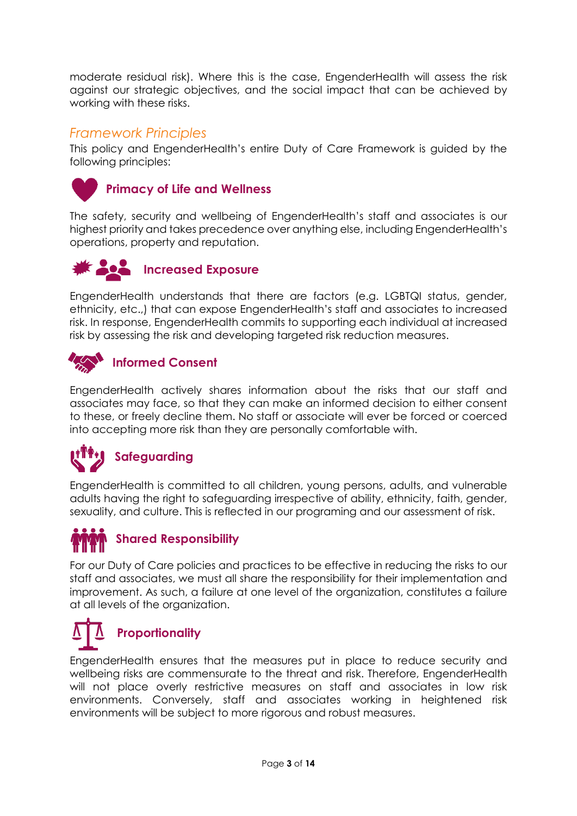moderate residual risk). Where this is the case, EngenderHealth will assess the risk against our strategic objectives, and the social impact that can be achieved by working with these risks.

#### <span id="page-2-0"></span>*Framework Principles*

This policy and EngenderHealth's entire Duty of Care Framework is guided by the following principles:



#### **Primacy of Life and Wellness**

The safety, security and wellbeing of EngenderHealth's staff and associates is our highest priority and takes precedence over anything else, including EngenderHealth's operations, property and reputation.



#### **Increased Exposure**

EngenderHealth understands that there are factors (e.g. LGBTQI status, gender, ethnicity, etc.,) that can expose EngenderHealth's staff and associates to increased risk. In response, EngenderHealth commits to supporting each individual at increased risk by assessing the risk and developing targeted risk reduction measures.



EngenderHealth actively shares information about the risks that our staff and associates may face, so that they can make an informed decision to either consent to these, or freely decline them. No staff or associate will ever be forced or coerced into accepting more risk than they are personally comfortable with.



EngenderHealth is committed to all children, young persons, adults, and vulnerable adults having the right to safeguarding irrespective of ability, ethnicity, faith, gender, sexuality, and culture. This is reflected in our programing and our assessment of risk.



For our Duty of Care policies and practices to be effective in reducing the risks to our staff and associates, we must all share the responsibility for their implementation and improvement. As such, a failure at one level of the organization, constitutes a failure at all levels of the organization.

# **Proportionality**

EngenderHealth ensures that the measures put in place to reduce security and wellbeing risks are commensurate to the threat and risk. Therefore, EngenderHealth will not place overly restrictive measures on staff and associates in low risk environments. Conversely, staff and associates working in heightened risk environments will be subject to more rigorous and robust measures.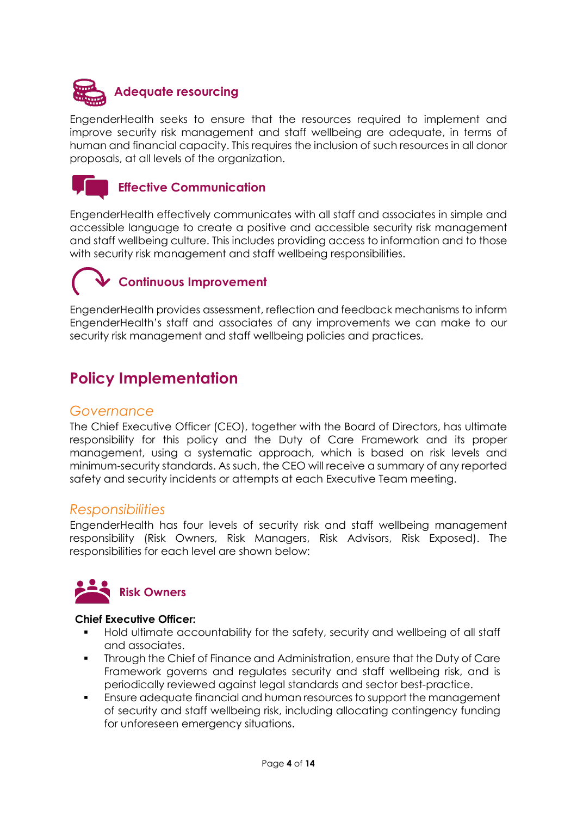

EngenderHealth seeks to ensure that the resources required to implement and improve security risk management and staff wellbeing are adequate, in terms of human and financial capacity. This requires the inclusion of such resources in all donor proposals, at all levels of the organization.



#### **Effective Communication**

EngenderHealth effectively communicates with all staff and associates in simple and accessible language to create a positive and accessible security risk management and staff wellbeing culture. This includes providing access to information and to those with security risk management and staff wellbeing responsibilities.

# **Continuous Improvement**

EngenderHealth provides assessment, reflection and feedback mechanisms to inform EngenderHealth's staff and associates of any improvements we can make to our security risk management and staff wellbeing policies and practices.

# <span id="page-3-0"></span>**Policy Implementation**

#### <span id="page-3-1"></span>*Governance*

The Chief Executive Officer (CEO), together with the Board of Directors, has ultimate responsibility for this policy and the Duty of Care Framework and its proper management, using a systematic approach, which is based on risk levels and minimum-security standards. As such, the CEO will receive a summary of any reported safety and security incidents or attempts at each Executive Team meeting.

#### <span id="page-3-2"></span>*Responsibilities*

EngenderHealth has four levels of security risk and staff wellbeing management responsibility (Risk Owners, Risk Managers, Risk Advisors, Risk Exposed). The responsibilities for each level are shown below:



#### **Chief Executive Officer:**

- Hold ultimate accountability for the safety, security and wellbeing of all staff and associates.
- Through the Chief of Finance and Administration, ensure that the Duty of Care Framework governs and regulates security and staff wellbeing risk, and is periodically reviewed against legal standards and sector best-practice.
- Ensure adequate financial and human resources to support the management of security and staff wellbeing risk, including allocating contingency funding for unforeseen emergency situations.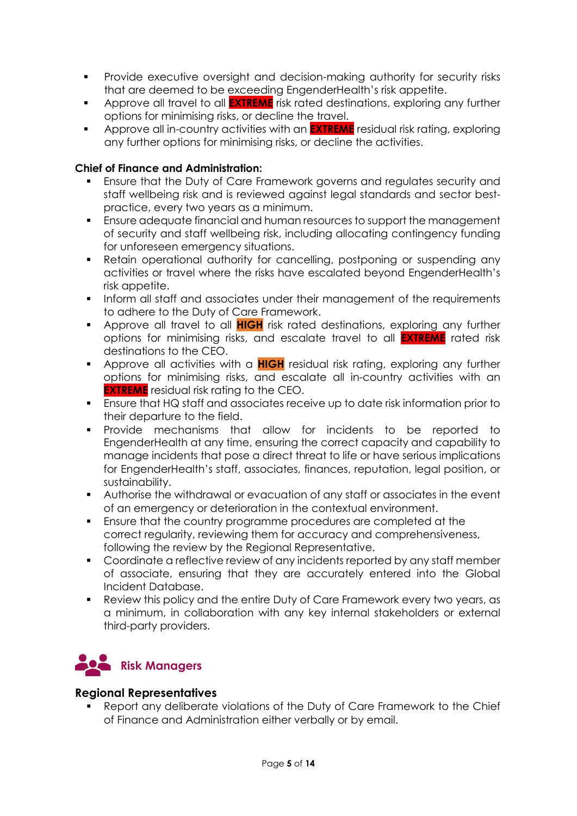- **Provide executive oversight and decision-making authority for security risks** that are deemed to be exceeding EngenderHealth's risk appetite.
- Approve all travel to all **EXTREME** risk rated destinations, exploring any further options for minimising risks, or decline the travel.
- Approve all in-country activities with an **EXTREME** residual risk rating, exploring any further options for minimising risks, or decline the activities.

#### **Chief of Finance and Administration:**

- Ensure that the Duty of Care Framework governs and regulates security and staff wellbeing risk and is reviewed against legal standards and sector bestpractice, every two years as a minimum.
- Ensure adequate financial and human resources to support the management of security and staff wellbeing risk, including allocating contingency funding for unforeseen emergency situations.
- Retain operational authority for cancelling, postponing or suspending any activities or travel where the risks have escalated beyond EngenderHealth's risk appetite.
- **Inform all staff and associates under their management of the requirements** to adhere to the Duty of Care Framework.
- Approve all travel to all **HIGH** risk rated destinations, exploring any further options for minimising risks, and escalate travel to all **EXTREME** rated risk destinations to the CEO.
- **Approve all activities with a HIGH** residual risk rating, exploring any further options for minimising risks, and escalate all in-country activities with an **EXTREME** residual risk rating to the CEO.
- Ensure that HQ staff and associates receive up to date risk information prior to their departure to the field.
- Provide mechanisms that allow for incidents to be reported to EngenderHealth at any time, ensuring the correct capacity and capability to manage incidents that pose a direct threat to life or have serious implications for EngenderHealth's staff, associates, finances, reputation, legal position, or sustainability.
- Authorise the withdrawal or evacuation of any staff or associates in the event of an emergency or deterioration in the contextual environment.
- Ensure that the country programme procedures are completed at the correct regularity, reviewing them for accuracy and comprehensiveness, following the review by the Regional Representative.
- Coordinate a reflective review of any incidents reported by any staff member of associate, ensuring that they are accurately entered into the Global Incident Database.
- Review this policy and the entire Duty of Care Framework every two years, as a minimum, in collaboration with any key internal stakeholders or external third-party providers.



#### **Regional Representatives**

 Report any deliberate violations of the Duty of Care Framework to the Chief of Finance and Administration either verbally or by email.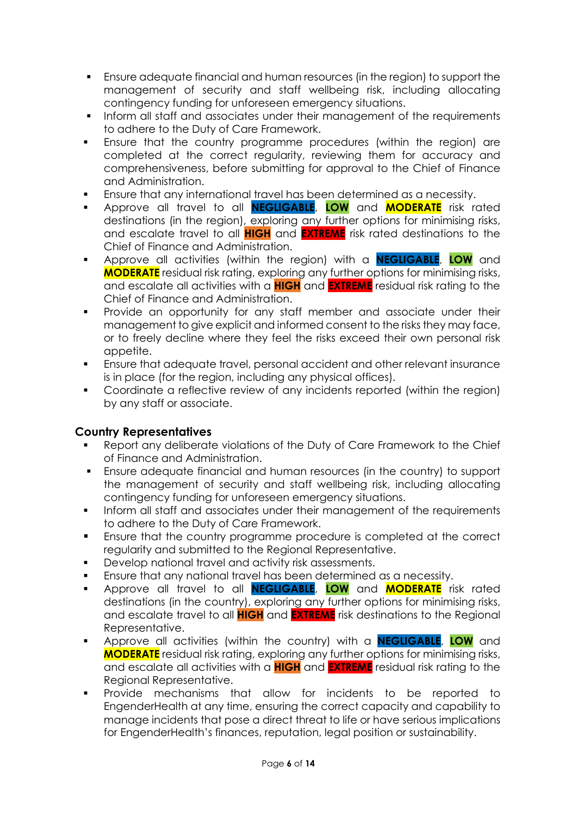- Ensure adequate financial and human resources (in the region) to support the management of security and staff wellbeing risk, including allocating contingency funding for unforeseen emergency situations.
- Inform all staff and associates under their management of the requirements to adhere to the Duty of Care Framework.
- Ensure that the country programme procedures (within the region) are completed at the correct regularity, reviewing them for accuracy and comprehensiveness, before submitting for approval to the Chief of Finance and Administration.
- Ensure that any international travel has been determined as a necessity.
- Approve all travel to all **NEGLIGABLE**, **LOW** and **MODERATE** risk rated destinations (in the region), exploring any further options for minimising risks, and escalate travel to all **HIGH** and **EXTREME** risk rated destinations to the Chief of Finance and Administration.
- Approve all activities (within the region) with a **NEGLIGABLE**, **LOW** and **MODERATE** residual risk rating, exploring any further options for minimising risks, and escalate all activities with a **HIGH** and **EXTREME** residual risk rating to the Chief of Finance and Administration.
- **•** Provide an opportunity for any staff member and associate under their management to give explicit and informed consent to the risks they may face, or to freely decline where they feel the risks exceed their own personal risk appetite.
- Ensure that adequate travel, personal accident and other relevant insurance is in place (for the region, including any physical offices).
- Coordinate a reflective review of any incidents reported (within the region) by any staff or associate.

#### **Country Representatives**

- Report any deliberate violations of the Duty of Care Framework to the Chief of Finance and Administration.
- Ensure adequate financial and human resources (in the country) to support the management of security and staff wellbeing risk, including allocating contingency funding for unforeseen emergency situations.
- Inform all staff and associates under their management of the requirements to adhere to the Duty of Care Framework.
- Ensure that the country programme procedure is completed at the correct regularity and submitted to the Regional Representative.
- Develop national travel and activity risk assessments.
- Ensure that any national travel has been determined as a necessity.
- Approve all travel to all **NEGLIGABLE**, **LOW** and **MODERATE** risk rated destinations (in the country), exploring any further options for minimising risks, and escalate travel to all **HIGH** and **EXTREME** risk destinations to the Regional Representative.
- Approve all activities (within the country) with a **NEGLIGABLE**, **LOW** and **MODERATE** residual risk rating, exploring any further options for minimising risks, and escalate all activities with a **HIGH** and **EXTREME** residual risk rating to the Regional Representative.
- Provide mechanisms that allow for incidents to be reported to EngenderHealth at any time, ensuring the correct capacity and capability to manage incidents that pose a direct threat to life or have serious implications for EngenderHealth's finances, reputation, legal position or sustainability.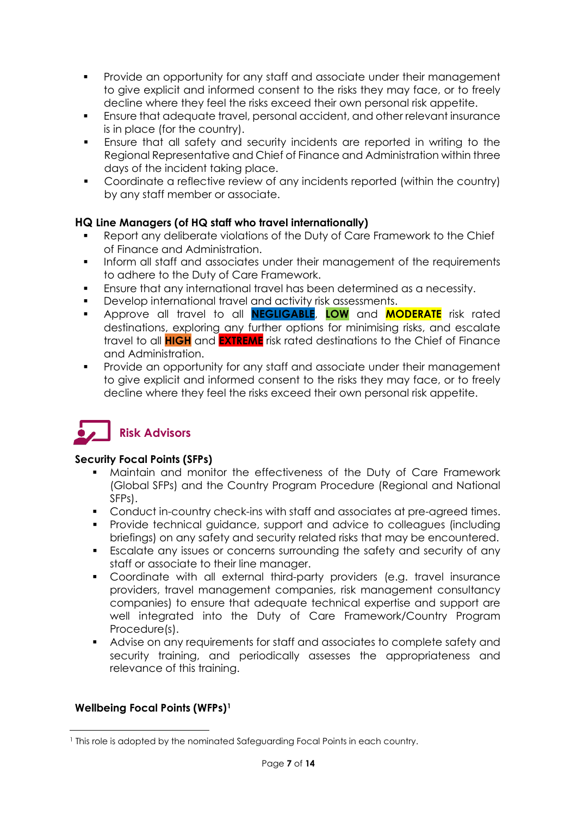- **Provide an opportunity for any staff and associate under their management** to give explicit and informed consent to the risks they may face, or to freely decline where they feel the risks exceed their own personal risk appetite.
- Ensure that adequate travel, personal accident, and other relevant insurance is in place (for the country).
- Ensure that all safety and security incidents are reported in writing to the Regional Representative and Chief of Finance and Administration within three days of the incident taking place.
- Coordinate a reflective review of any incidents reported (within the country) by any staff member or associate.

#### **HQ Line Managers (of HQ staff who travel internationally)**

- Report any deliberate violations of the Duty of Care Framework to the Chief of Finance and Administration.
- Inform all staff and associates under their management of the requirements to adhere to the Duty of Care Framework.
- Ensure that any international travel has been determined as a necessity.
- Develop international travel and activity risk assessments.
- Approve all travel to all **NEGLIGABLE**, **LOW** and **MODERATE** risk rated destinations, exploring any further options for minimising risks, and escalate travel to all **HIGH** and **EXTREME** risk rated destinations to the Chief of Finance and Administration.
- Provide an opportunity for any staff and associate under their management to give explicit and informed consent to the risks they may face, or to freely decline where they feel the risks exceed their own personal risk appetite.

# **Risk Advisors**

#### **Security Focal Points (SFPs)**

- Maintain and monitor the effectiveness of the Duty of Care Framework (Global SFPs) and the Country Program Procedure (Regional and National SFPs).
- Conduct in-country check-ins with staff and associates at pre-agreed times.
- Provide technical guidance, support and advice to colleagues (including briefings) on any safety and security related risks that may be encountered.
- Escalate any issues or concerns surrounding the safety and security of any staff or associate to their line manager.
- Coordinate with all external third-party providers (e.g. travel insurance providers, travel management companies, risk management consultancy companies) to ensure that adequate technical expertise and support are well integrated into the Duty of Care Framework/Country Program Procedure(s).
- Advise on any requirements for staff and associates to complete safety and security training, and periodically assesses the appropriateness and relevance of this training.

#### **Wellbeing Focal Points (WFPs[\)1](#page-6-0)**

<span id="page-6-0"></span> $\overline{a}$ <sup>1</sup> This role is adopted by the nominated Safeguarding Focal Points in each country.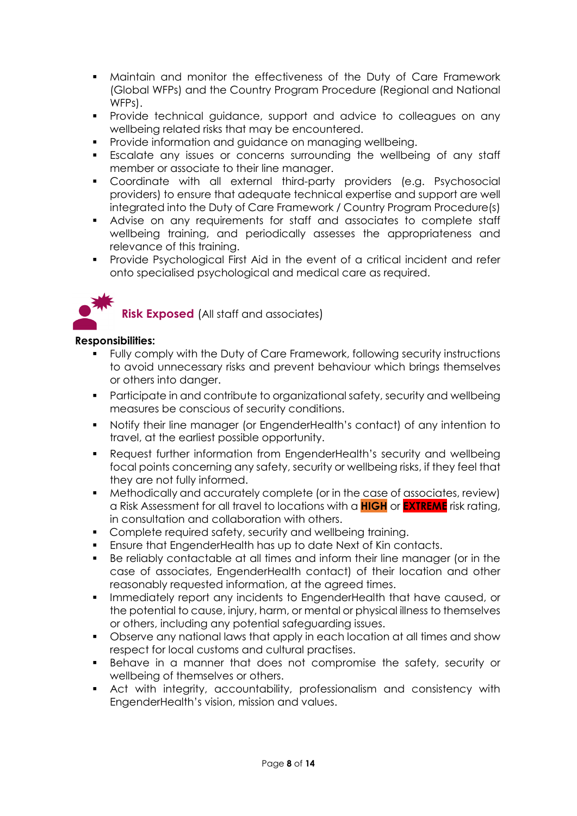- Maintain and monitor the effectiveness of the Duty of Care Framework (Global WFPs) and the Country Program Procedure (Regional and National WFPs).
- Provide technical guidance, support and advice to colleagues on any wellbeing related risks that may be encountered.
- **Provide information and guidance on managing wellbeing.**
- Escalate any issues or concerns surrounding the wellbeing of any staff member or associate to their line manager.
- Coordinate with all external third-party providers (e.g. Psychosocial providers) to ensure that adequate technical expertise and support are well integrated into the Duty of Care Framework / Country Program Procedure(s)
- Advise on any requirements for staff and associates to complete staff wellbeing training, and periodically assesses the appropriateness and relevance of this training.
- **Provide Psychological First Aid in the event of a critical incident and refer** onto specialised psychological and medical care as required.



**Risk Exposed** (All staff and associates)

#### **Responsibilities:**

- Fully comply with the Duty of Care Framework, following security instructions to avoid unnecessary risks and prevent behaviour which brings themselves or others into danger.
- **Participate in and contribute to organizational safety, security and wellbeing** measures be conscious of security conditions.
- Notify their line manager (or EngenderHealth's contact) of any intention to travel, at the earliest possible opportunity.
- Request further information from EngenderHealth's security and wellbeing focal points concerning any safety, security or wellbeing risks, if they feel that they are not fully informed.
- Methodically and accurately complete (or in the case of associates, review) a Risk Assessment for all travel to locations with a **HIGH** or **EXTREME** risk rating, in consultation and collaboration with others.
- **Complete required safety, security and wellbeing training.**
- Ensure that EngenderHealth has up to date Next of Kin contacts.
- Be reliably contactable at all times and inform their line manager (or in the case of associates, EngenderHealth contact) of their location and other reasonably requested information, at the agreed times.
- Immediately report any incidents to EngenderHealth that have caused, or the potential to cause, injury, harm, or mental or physical illness to themselves or others, including any potential safeguarding issues.
- Observe any national laws that apply in each location at all times and show respect for local customs and cultural practises.
- Behave in a manner that does not compromise the safety, security or wellbeing of themselves or others.
- Act with integrity, accountability, professionalism and consistency with EngenderHealth's vision, mission and values.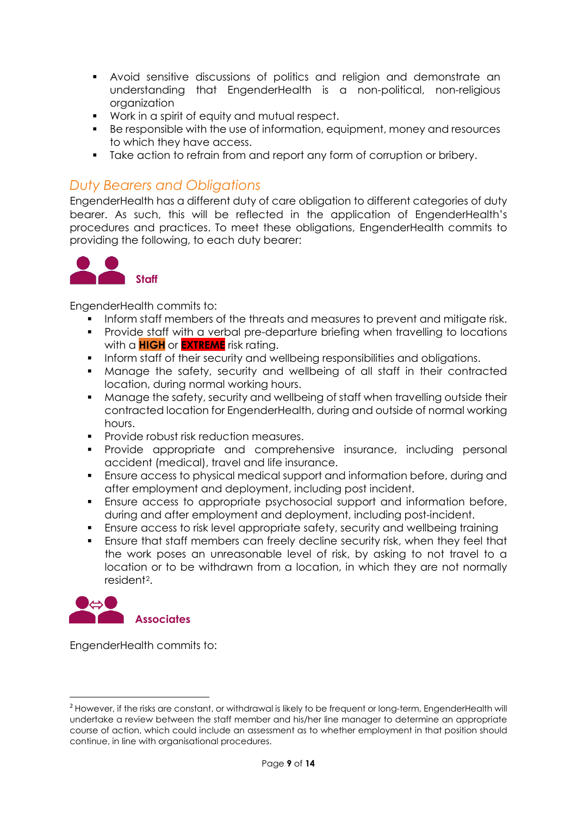- Avoid sensitive discussions of politics and religion and demonstrate an understanding that EngenderHealth is a non-political, non-religious organization
- Work in a spirit of equity and mutual respect.
- Be responsible with the use of information, equipment, money and resources to which they have access.
- Take action to refrain from and report any form of corruption or bribery.

### <span id="page-8-0"></span>*Duty Bearers and Obligations*

EngenderHealth has a different duty of care obligation to different categories of duty bearer. As such, this will be reflected in the application of EngenderHealth's procedures and practices. To meet these obligations, EngenderHealth commits to providing the following, to each duty bearer:



EngenderHealth commits to:

- Inform staff members of the threats and measures to prevent and mitigate risk.
- **Provide staff with a verbal pre-departure briefing when travelling to locations** with a **HIGH** or **EXTREME** risk rating.
- **Inform staff of their security and wellbeing responsibilities and obligations.**
- Manage the safety, security and wellbeing of all staff in their contracted location, during normal working hours.
- **Manage the safety, security and wellbeing of staff when travelling outside their** contracted location for EngenderHealth, during and outside of normal working hours.
- **Provide robust risk reduction measures.**
- **•** Provide appropriate and comprehensive insurance, including personal accident (medical), travel and life insurance.
- Ensure access to physical medical support and information before, during and after employment and deployment, including post incident.
- Ensure access to appropriate psychosocial support and information before, during and after employment and deployment, including post-incident.
- Ensure access to risk level appropriate safety, security and wellbeing training
- Ensure that staff members can freely decline security risk, when they feel that the work poses an unreasonable level of risk, by asking to not travel to a location or to be withdrawn from a location, in which they are not normally resident[2](#page-8-1).



EngenderHealth commits to:

<span id="page-8-1"></span><sup>&</sup>lt;sup>2</sup> However, if the risks are constant, or withdrawal is likely to be frequent or long-term, EngenderHealth will undertake a review between the staff member and his/her line manager to determine an appropriate course of action, which could include an assessment as to whether employment in that position should continue, in line with organisational procedures.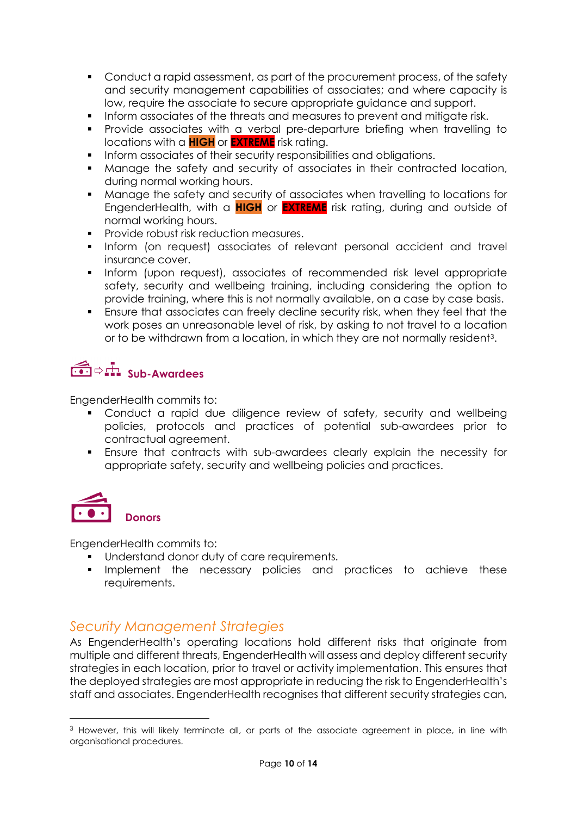- Conduct a rapid assessment, as part of the procurement process, of the safety and security management capabilities of associates; and where capacity is low, require the associate to secure appropriate guidance and support.
- **Inform associates of the threats and measures to prevent and mitigate risk.**
- Provide associates with a verbal pre-departure briefing when travelling to locations with a **HIGH** or **EXTREME** risk rating.
- **Inform associates of their security responsibilities and obligations.**
- Manage the safety and security of associates in their contracted location, during normal working hours.
- Manage the safety and security of associates when travelling to locations for EngenderHealth, with a **HIGH** or **EXTREME** risk rating, during and outside of normal working hours.
- **Provide robust risk reduction measures.**
- **Inform (on request) associates of relevant personal accident and travelly** insurance cover.
- Inform (upon request), associates of recommended risk level appropriate safety, security and wellbeing training, including considering the option to provide training, where this is not normally available, on a case by case basis.
- Ensure that associates can freely decline security risk, when they feel that the work poses an unreasonable level of risk, by asking to not travel to a location or to be withdrawn from a location, in which they are not normally resident[3](#page-9-1).

# **Sub-Awardees**

EngenderHealth commits to:

- Conduct a rapid due diligence review of safety, security and wellbeing policies, protocols and practices of potential sub-awardees prior to contractual agreement.
- Ensure that contracts with sub-awardees clearly explain the necessity for appropriate safety, security and wellbeing policies and practices.



**.** 

EngenderHealth commits to:

- **Understand donor duty of care requirements.**
- **Implement the necessary policies and practices to achieve these** requirements.

# <span id="page-9-0"></span>*Security Management Strategies*

As EngenderHealth's operating locations hold different risks that originate from multiple and different threats, EngenderHealth will assess and deploy different security strategies in each location, prior to travel or activity implementation. This ensures that the deployed strategies are most appropriate in reducing the risk to EngenderHealth's staff and associates. EngenderHealth recognises that different security strategies can,

<span id="page-9-1"></span><sup>&</sup>lt;sup>3</sup> However, this will likely terminate all, or parts of the associate agreement in place, in line with organisational procedures.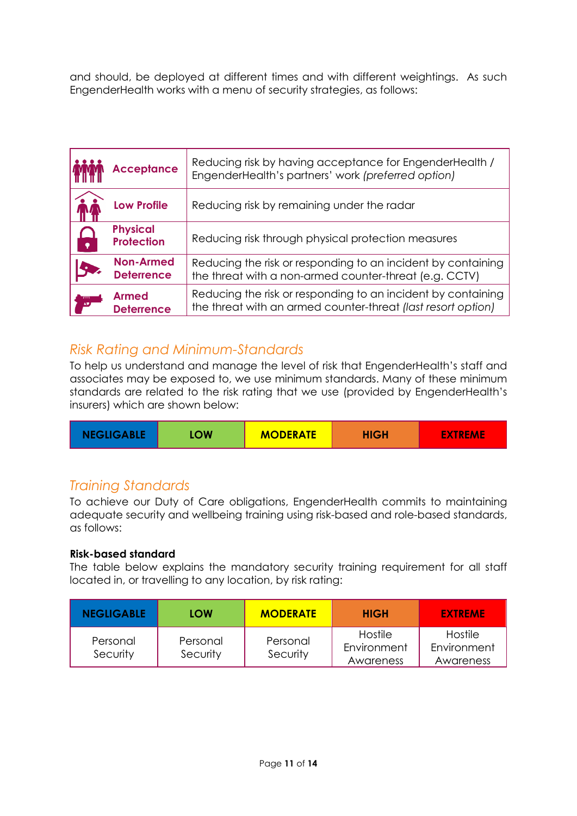and should, be deployed at different times and with different weightings. As such EngenderHealth works with a menu of security strategies, as follows:

|           | <b>Acceptance</b>                     | Reducing risk by having acceptance for EngenderHealth /<br>EngenderHealth's partners' work (preferred option)                |  |  |
|-----------|---------------------------------------|------------------------------------------------------------------------------------------------------------------------------|--|--|
|           | <b>Low Profile</b>                    | Reducing risk by remaining under the radar                                                                                   |  |  |
| $\bullet$ | <b>Physical</b><br><b>Protection</b>  | Reducing risk through physical protection measures                                                                           |  |  |
|           | <b>Non-Armed</b><br><b>Deterrence</b> | Reducing the risk or responding to an incident by containing<br>the threat with a non-armed counter-threat (e.g. CCTV)       |  |  |
|           | <b>Armed</b><br><b>Deterrence</b>     | Reducing the risk or responding to an incident by containing<br>the threat with an armed counter-threat (last resort option) |  |  |

## <span id="page-10-0"></span>*Risk Rating and Minimum-Standards*

To help us understand and manage the level of risk that EngenderHealth's staff and associates may be exposed to, we use minimum standards. Many of these minimum standards are related to the risk rating that we use (provided by EngenderHealth's insurers) which are shown below:

|--|

# <span id="page-10-1"></span>*Training Standards*

To achieve our Duty of Care obligations, EngenderHealth commits to maintaining adequate security and wellbeing training using risk-based and role-based standards, as follows:

#### **Risk-based standard**

The table below explains the mandatory security training requirement for all staff located in, or travelling to any location, by risk rating:

| <b>NEGLIGABLE</b>    | LOW                  | <b>MODERATE</b>      | <b>HIGH</b>                         | <b>EXTREME</b>                             |
|----------------------|----------------------|----------------------|-------------------------------------|--------------------------------------------|
| Personal<br>Security | Personal<br>Security | Personal<br>Security | Hostile<br>Environment<br>Awareness | <b>Hostile</b><br>Environment<br>Awareness |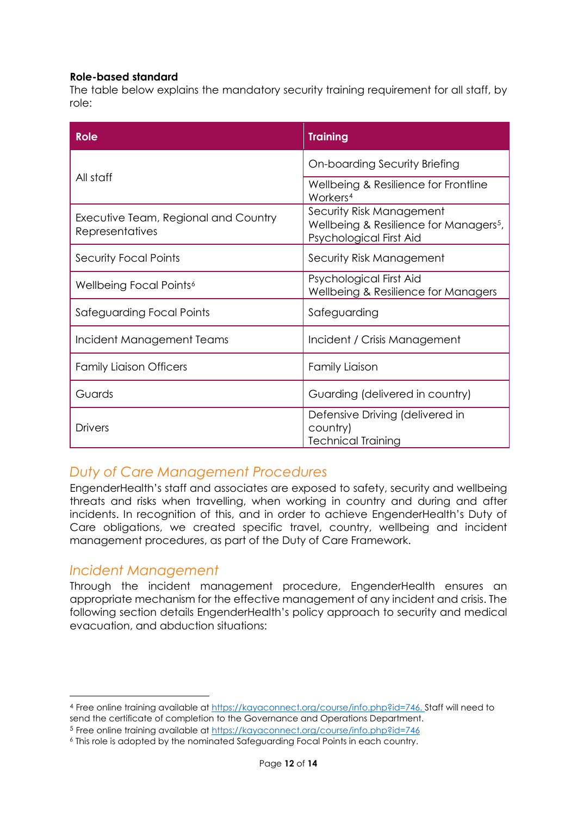#### **Role-based standard**

The table below explains the mandatory security training requirement for all staff, by role:

| <b>Role</b>                                             | <b>Training</b>                                                                                           |  |
|---------------------------------------------------------|-----------------------------------------------------------------------------------------------------------|--|
|                                                         | On-boarding Security Briefing                                                                             |  |
| All staff                                               | Wellbeing & Resilience for Frontline<br>Workers <sup>4</sup>                                              |  |
| Executive Team, Regional and Country<br>Representatives | Security Risk Management<br>Wellbeing & Resilience for Managers <sup>5</sup> ,<br>Psychological First Aid |  |
| <b>Security Focal Points</b>                            | Security Risk Management                                                                                  |  |
| Wellbeing Focal Points <sup>6</sup>                     | Psychological First Aid<br>Wellbeing & Resilience for Managers                                            |  |
| Safeguarding Focal Points                               | Safeguarding                                                                                              |  |
| Incident Management Teams                               | Incident / Crisis Management                                                                              |  |
| <b>Family Liaison Officers</b>                          | <b>Family Liaison</b>                                                                                     |  |
| Guards                                                  | Guarding (delivered in country)                                                                           |  |
| <b>Drivers</b>                                          | Defensive Driving (delivered in<br>country)<br><b>Technical Training</b>                                  |  |

# <span id="page-11-0"></span>*Duty of Care Management Procedures*

EngenderHealth's staff and associates are exposed to safety, security and wellbeing threats and risks when travelling, when working in country and during and after incidents. In recognition of this, and in order to achieve EngenderHealth's Duty of Care obligations, we created specific travel, country, wellbeing and incident management procedures, as part of the Duty of Care Framework.

#### <span id="page-11-1"></span>*Incident Management*

**.** 

Through the incident management procedure, EngenderHealth ensures an appropriate mechanism for the effective management of any incident and crisis. The following section details EngenderHealth's policy approach to security and medical evacuation, and abduction situations:

<span id="page-11-2"></span><sup>4</sup> Free online training available a[t https://kayaconnect.org/course/info.php?id=746.](https://kayaconnect.org/course/info.php?id=746) Staff will need to send the certificate of completion to the Governance and Operations Department.

<span id="page-11-3"></span><sup>5</sup> Free online training available a[t https://kayaconnect.org/course/info.php?id=746](https://kayaconnect.org/course/info.php?id=746)

<span id="page-11-4"></span><sup>6</sup> This role is adopted by the nominated Safeguarding Focal Points in each country.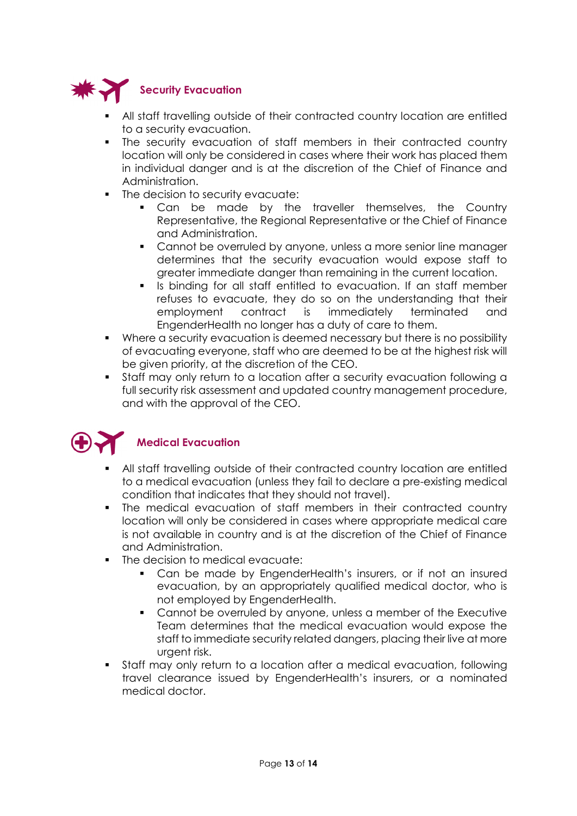

- All staff travelling outside of their contracted country location are entitled to a security evacuation.
- The security evacuation of staff members in their contracted country location will only be considered in cases where their work has placed them in individual danger and is at the discretion of the Chief of Finance and Administration.
- The decision to security evacuate:
	- **Can be made by the traveller themselves, the Country** Representative, the Regional Representative or the Chief of Finance and Administration.
	- **Cannot be overruled by anyone, unless a more senior line manager** determines that the security evacuation would expose staff to greater immediate danger than remaining in the current location.
	- Is binding for all staff entitled to evacuation. If an staff member refuses to evacuate, they do so on the understanding that their employment contract is immediately terminated and EngenderHealth no longer has a duty of care to them.
- Where a security evacuation is deemed necessary but there is no possibility of evacuating everyone, staff who are deemed to be at the highest risk will be given priority, at the discretion of the CEO.
- Staff may only return to a location after a security evacuation following a full security risk assessment and updated country management procedure, and with the approval of the CEO.



- All staff travelling outside of their contracted country location are entitled to a medical evacuation (unless they fail to declare a pre-existing medical condition that indicates that they should not travel).
- The medical evacuation of staff members in their contracted country location will only be considered in cases where appropriate medical care is not available in country and is at the discretion of the Chief of Finance and Administration.
- The decision to medical evacuate:
	- Can be made by EngenderHealth's insurers, or if not an insured evacuation, by an appropriately qualified medical doctor, who is not employed by EngenderHealth.
	- Cannot be overruled by anyone, unless a member of the Executive Team determines that the medical evacuation would expose the staff to immediate security related dangers, placing their live at more urgent risk.
- Staff may only return to a location after a medical evacuation, following travel clearance issued by EngenderHealth's insurers, or a nominated medical doctor.